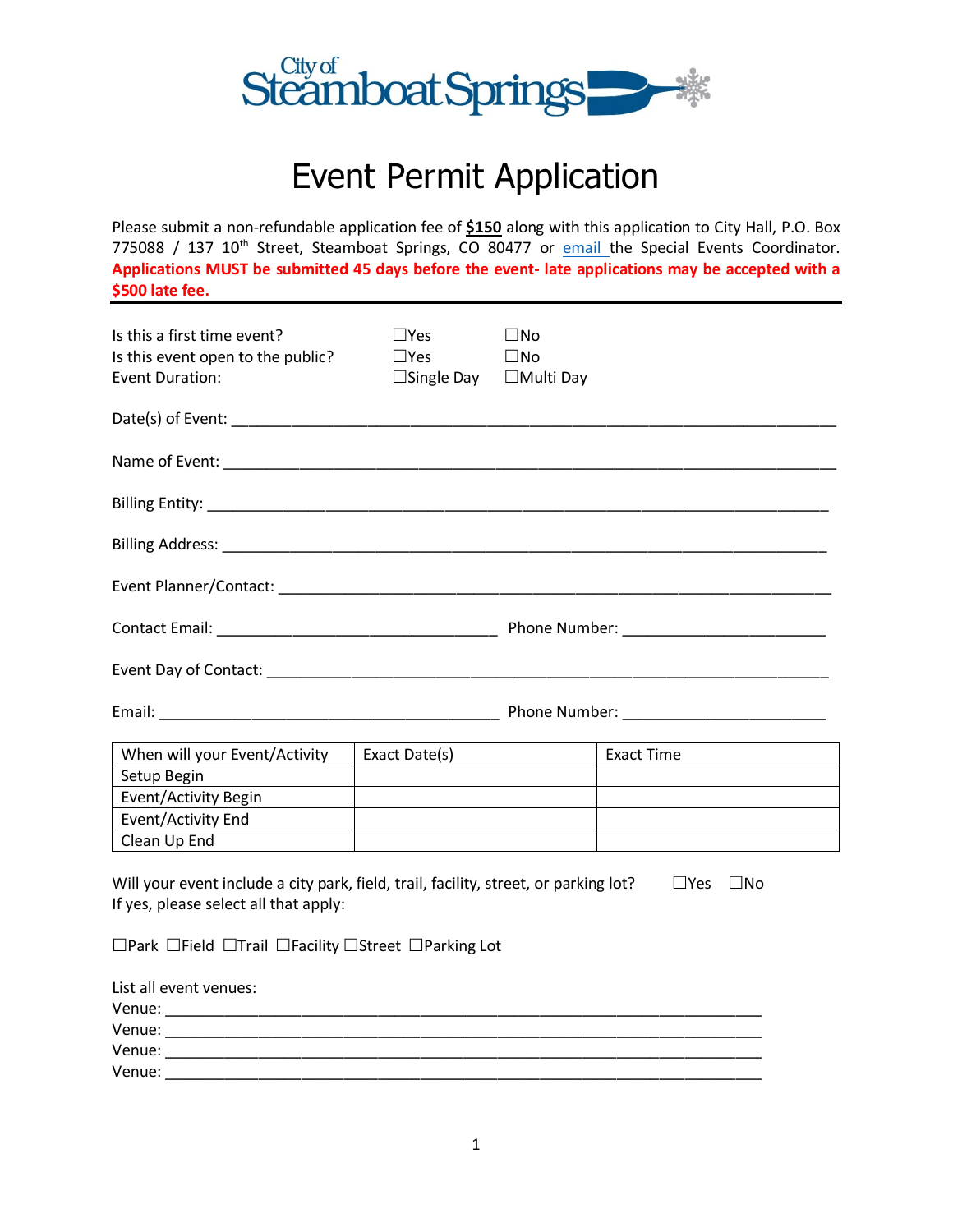

# Event Permit Application

Please submit a non-refundable application fee of **\$150** along with this application to City Hall, P.O. Box 775088 / 137 10<sup>th</sup> Street, Steamboat Springs, CO 80477 or [email t](mailto:rlundy@steamboatsprings.net?subject=Event%20Permit%20Application)he Special Events Coordinator. **Applications MUST be submitted 45 days before the event- late applications may be accepted with a \$500 late fee.**

| Is this a first time event?<br>Is this event open to the public?<br><b>Event Duration:</b>                                    | $\square$ Yes<br>$\square$ Yes<br>$\Box$ Single Day $\Box$ Multi Day                                                  | $\square$ No<br>$\square$ No |                                                         |
|-------------------------------------------------------------------------------------------------------------------------------|-----------------------------------------------------------------------------------------------------------------------|------------------------------|---------------------------------------------------------|
|                                                                                                                               |                                                                                                                       |                              |                                                         |
|                                                                                                                               |                                                                                                                       |                              |                                                         |
|                                                                                                                               |                                                                                                                       |                              |                                                         |
|                                                                                                                               |                                                                                                                       |                              |                                                         |
|                                                                                                                               |                                                                                                                       |                              |                                                         |
|                                                                                                                               |                                                                                                                       |                              |                                                         |
|                                                                                                                               |                                                                                                                       |                              |                                                         |
|                                                                                                                               |                                                                                                                       |                              |                                                         |
| When will your Event/Activity                                                                                                 | Exact Date(s)                                                                                                         |                              |                                                         |
| Setup Begin                                                                                                                   | <u> 1980 - Johann Stein, mars an de British Barbara, mar an deis an deis an dealbhaile an dealbhaile an dealbhail</u> |                              |                                                         |
| Event/Activity Begin                                                                                                          | <u>and the state of the state of the state of the state of the state of the state of the state of the state of th</u> |                              | <u> 1980 - Johann Barbara, martin d</u>                 |
| Event/Activity End                                                                                                            |                                                                                                                       |                              | <u> 1989 - Johann Barnett, fransk politik (f. 1989)</u> |
| Clean Up End                                                                                                                  |                                                                                                                       |                              |                                                         |
| Will your event include a city park, field, trail, facility, street, or parking lot?<br>If yes, please select all that apply: |                                                                                                                       |                              | $\square$ Yes<br>$\square$ No                           |
| $\Box$ Park $\Box$ Field $\Box$ Trail $\Box$ Facility $\Box$ Street $\Box$ Parking Lot                                        |                                                                                                                       |                              |                                                         |
| List all event venues:                                                                                                        |                                                                                                                       |                              |                                                         |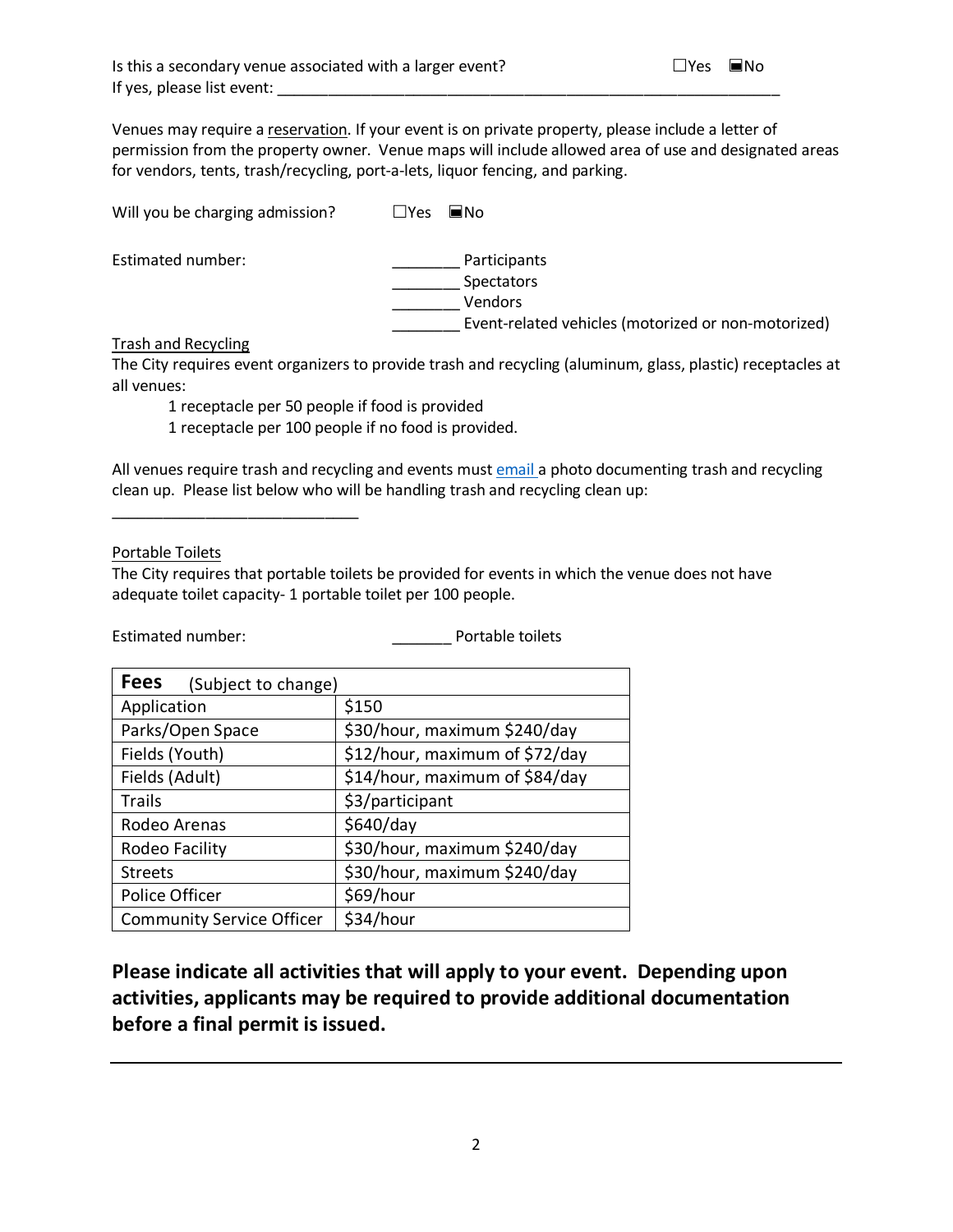Venues may require a [reservation.](http://steamboatsprings.net/212/Facility-Rentals) If your event is on private property, please include a letter of permission from the property owner. Venue maps will include allowed area of use and designated areas for vendors, tents, trash/recycling, port-a-lets, liquor fencing, and parking.

Will you be charging admission?  $\Box$  Yes  $\Box$  No

Estimated number: \_\_\_\_\_\_\_\_ Participants \_\_\_\_\_\_\_\_ Spectators \_\_\_\_\_\_\_\_ Vendors \_\_\_\_\_\_\_\_ Event-related vehicles (motorized or non-motorized)

Trash and Recycling

The City requires event organizers to provide trash and recycling (aluminum, glass, plastic) receptacles at all venues:

1 receptacle per 50 people if food is provided

1 receptacle per 100 people if no food is provided.

All venues require trash and recycling and events mus[t email](mailto:rlundy@steamboatsprings.net?subject=Special%20Event-%20Recycling%20and%20Trash%20Photo) a photo documenting trash and recycling clean up. Please list below who will be handling trash and recycling clean up:

Portable Toilets

\_\_\_\_\_\_\_\_\_\_\_\_\_\_\_\_\_\_\_\_\_\_\_\_\_\_\_\_\_

The City requires that portable toilets be provided for events in which the venue does not have adequate toilet capacity- 1 portable toilet per 100 people.

Estimated number: <br> Portable toilets

| <b>Fees</b><br>(Subject to change) |                                |
|------------------------------------|--------------------------------|
| Application                        | \$150                          |
| Parks/Open Space                   | \$30/hour, maximum \$240/day   |
| Fields (Youth)                     | \$12/hour, maximum of \$72/day |
| Fields (Adult)                     | \$14/hour, maximum of \$84/day |
| Trails                             | \$3/participant                |
| Rodeo Arenas                       | \$640/day                      |
| Rodeo Facility                     | \$30/hour, maximum \$240/day   |
| <b>Streets</b>                     | \$30/hour, maximum \$240/day   |
| Police Officer                     | \$69/hour                      |
| <b>Community Service Officer</b>   | \$34/hour                      |

**Please indicate all activities that will apply to your event. Depending upon activities, applicants may be required to provide additional documentation before a final permit is issued.**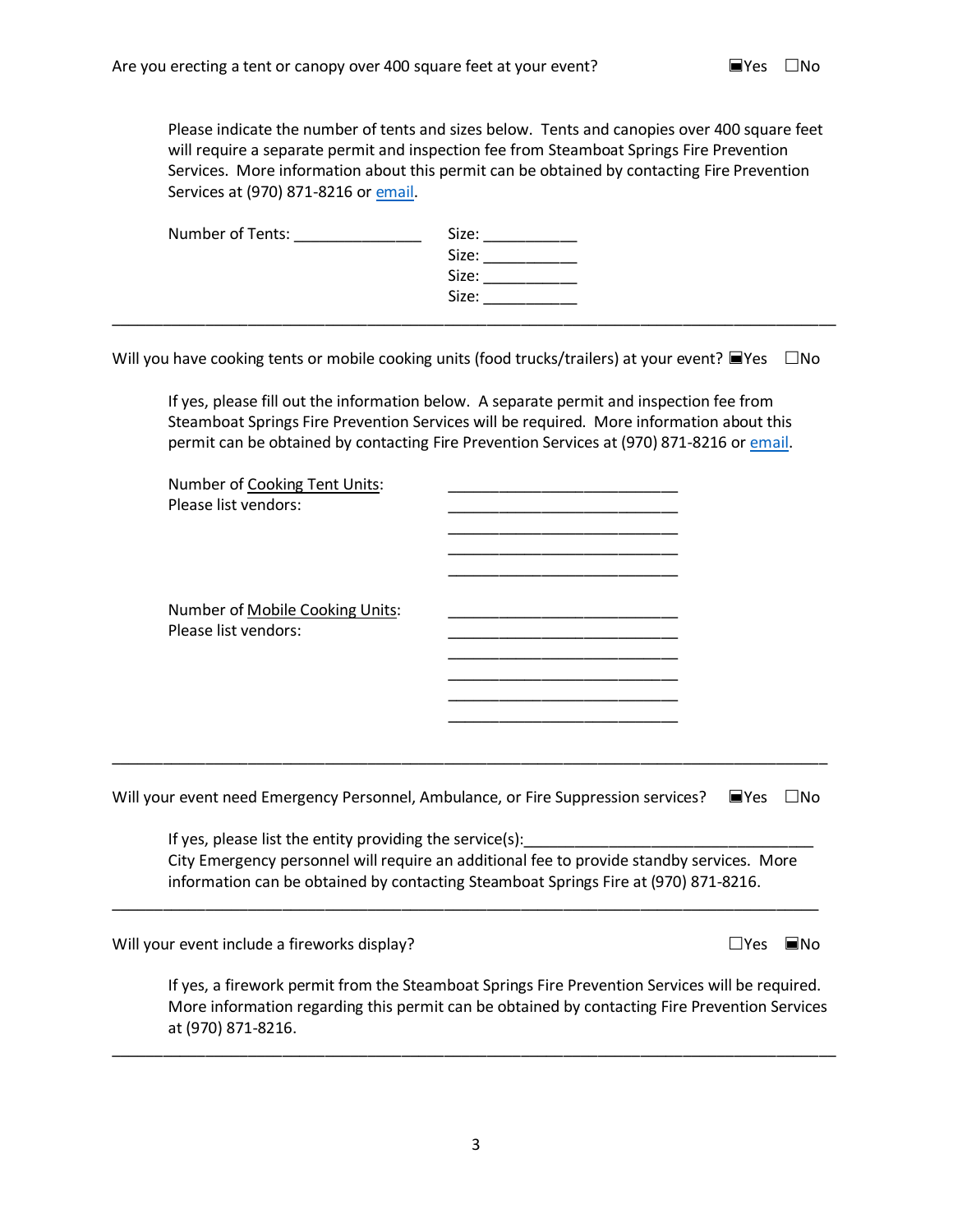Please indicate the number of tents and sizes below. Tents and canopies over 400 square feet will require a separate permit and inspection fee from Steamboat Springs Fire Prevention Services. More information about this permit can be obtained by contacting Fire Prevention Services at (970) 871-8216 or [email.](mailto:syaconiello@steamboatsprings.net?subject=Tent%20Permit)

| Number of Tents: | Size: |  |
|------------------|-------|--|
|                  | Size: |  |
|                  | Size: |  |
|                  | Size: |  |
|                  |       |  |

Will you have cooking tents or mobile cooking units (food trucks/trailers) at your event?  $\blacksquare$ Yes  $\Box$ No

If yes, please fill out the information below. A separate permit and inspection fee from Steamboat Springs Fire Prevention Services will be required. More information about this permit can be obtained by contacting Fire Prevention Services at (970) 871-8216 or [email.](mailto:syaconiello@steamboatsprings.net?subject=Tent%20Permit)

| Number of Cooking Tent Units:<br>Please list vendors:                              |                                                                                           |                    |           |
|------------------------------------------------------------------------------------|-------------------------------------------------------------------------------------------|--------------------|-----------|
| Number of Mobile Cooking Units:<br>Please list vendors:                            | the control of the control of the control of the control of the control of the control of |                    |           |
| Will your event need Emergency Personnel, Ambulance, or Fire Suppression services? |                                                                                           | $\blacksquare$ Yes | $\Box$ No |
| If yes, please list the entity providing the service(s):                           | City Emergency personnel will require an additional fee to provide standby services. More |                    |           |

information can be obtained by contacting Steamboat Springs Fire at (970) 871-8216. \_\_\_\_\_\_\_\_\_\_\_\_\_\_\_\_\_\_\_\_\_\_\_\_\_\_\_\_\_\_\_\_\_\_\_\_\_\_\_\_\_\_\_\_\_\_\_\_\_\_\_\_\_\_\_\_\_\_\_\_\_\_\_\_\_\_\_\_\_\_\_\_\_\_\_\_\_\_\_\_\_\_\_

Will your event include a fireworks display?  $\Box$  Yes  $\Box$  Yes  $\Box$  No

If yes, a firework permit from the Steamboat Springs Fire Prevention Services will be required. More information regarding this permit can be obtained by contacting Fire Prevention Services at (970) 871-8216.

\_\_\_\_\_\_\_\_\_\_\_\_\_\_\_\_\_\_\_\_\_\_\_\_\_\_\_\_\_\_\_\_\_\_\_\_\_\_\_\_\_\_\_\_\_\_\_\_\_\_\_\_\_\_\_\_\_\_\_\_\_\_\_\_\_\_\_\_\_\_\_\_\_\_\_\_\_\_\_\_\_\_\_\_\_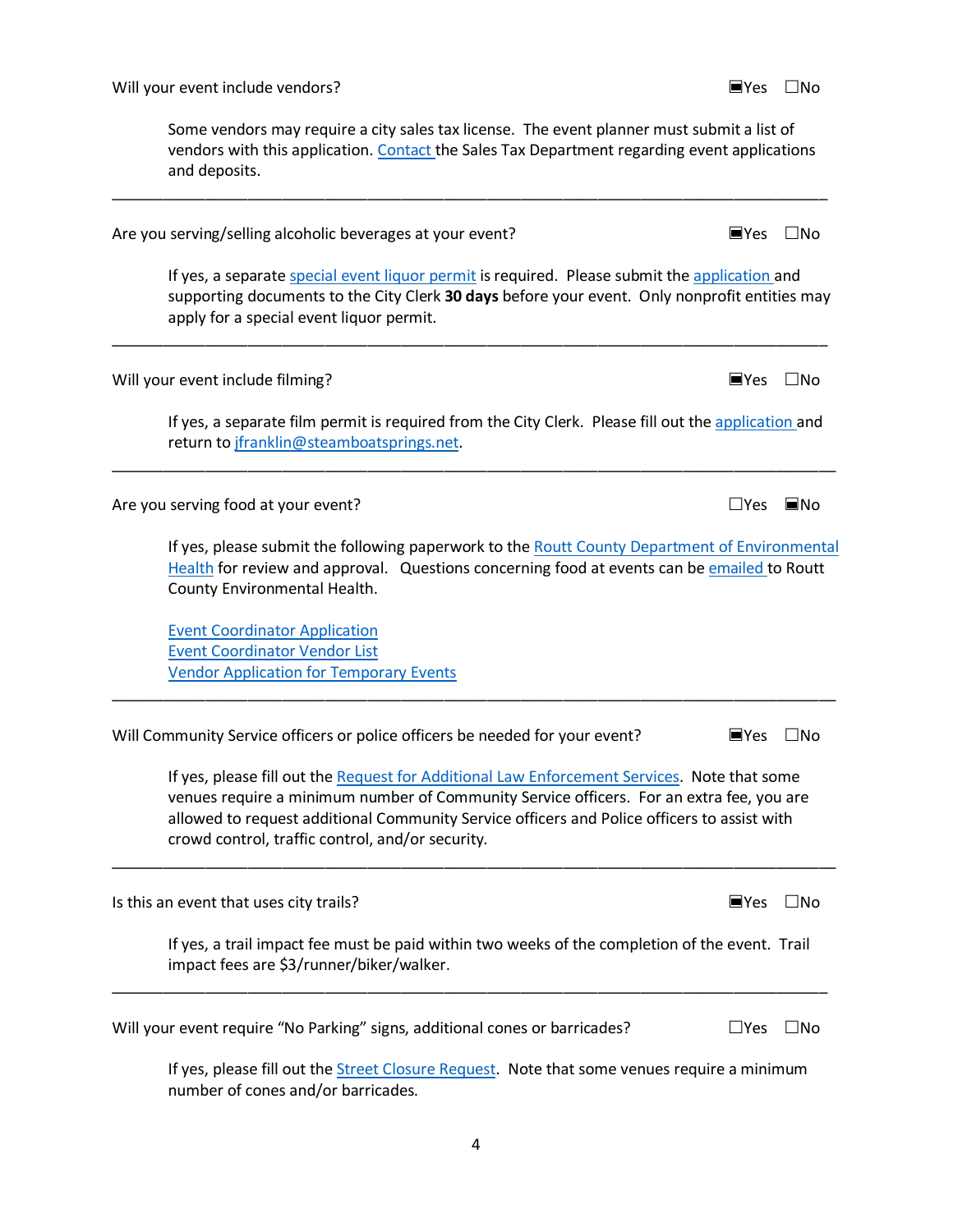Some vendors may require a city sales tax license. The event planner must submit a list of vendors with this application. [Contact t](mailto:salestax@steamboatsprings.net?subject=Special%20Event%20Sales%20Tax)he Sales Tax Department regarding event applications and deposits.

\_\_\_\_\_\_\_\_\_\_\_\_\_\_\_\_\_\_\_\_\_\_\_\_\_\_\_\_\_\_\_\_\_\_\_\_\_\_\_\_\_\_\_\_\_\_\_\_\_\_\_\_\_\_\_\_\_\_\_\_\_\_\_\_\_\_\_\_\_\_\_\_\_\_\_\_\_\_\_\_\_\_\_\_

| Are you serving/selling alcoholic beverages at your event?                                                                                                                                                                                                                                                                                 | $\blacksquare$ Yes | $\Box$ No   |
|--------------------------------------------------------------------------------------------------------------------------------------------------------------------------------------------------------------------------------------------------------------------------------------------------------------------------------------------|--------------------|-------------|
| If yes, a separate special event liquor permit is required. Please submit the application and<br>supporting documents to the City Clerk 30 days before your event. Only nonprofit entities may<br>apply for a special event liquor permit.                                                                                                 |                    |             |
| Will your event include filming?                                                                                                                                                                                                                                                                                                           | $N$ es             | $\Box$ No   |
| If yes, a separate film permit is required from the City Clerk. Please fill out the application and<br>return to jfranklin@steamboatsprings.net.                                                                                                                                                                                           |                    |             |
| Are you serving food at your event?                                                                                                                                                                                                                                                                                                        | $\sqcup$ Yes       | $\n  INO\n$ |
| If yes, please submit the following paperwork to the Routt County Department of Environmental<br>Health for review and approval. Questions concerning food at events can be emailed to Routt<br>County Environmental Health.                                                                                                               |                    |             |
| <b>Event Coordinator Application</b><br><b>Event Coordinator Vendor List</b><br><b>Vendor Application for Temporary Events</b>                                                                                                                                                                                                             |                    |             |
| Will Community Service officers or police officers be needed for your event?                                                                                                                                                                                                                                                               | $N$ es             | $\Box$ No   |
| If yes, please fill out the Request for Additional Law Enforcement Services. Note that some<br>venues require a minimum number of Community Service officers. For an extra fee, you are<br>allowed to request additional Community Service officers and Police officers to assist with<br>crowd control, traffic control, and/or security. |                    |             |
| Is this an event that uses city trails?                                                                                                                                                                                                                                                                                                    | ■Yes               | $\Box$ No   |
| If yes, a trail impact fee must be paid within two weeks of the completion of the event. Trail<br>impact fees are \$3/runner/biker/walker.                                                                                                                                                                                                 |                    |             |
| Will your event require "No Parking" signs, additional cones or barricades?                                                                                                                                                                                                                                                                | $\sqcup$ Yes       | $\Box$ No   |
| If yes, please fill out the Street Closure Request. Note that some venues require a minimum<br>number of cones and/or barricades.                                                                                                                                                                                                          |                    |             |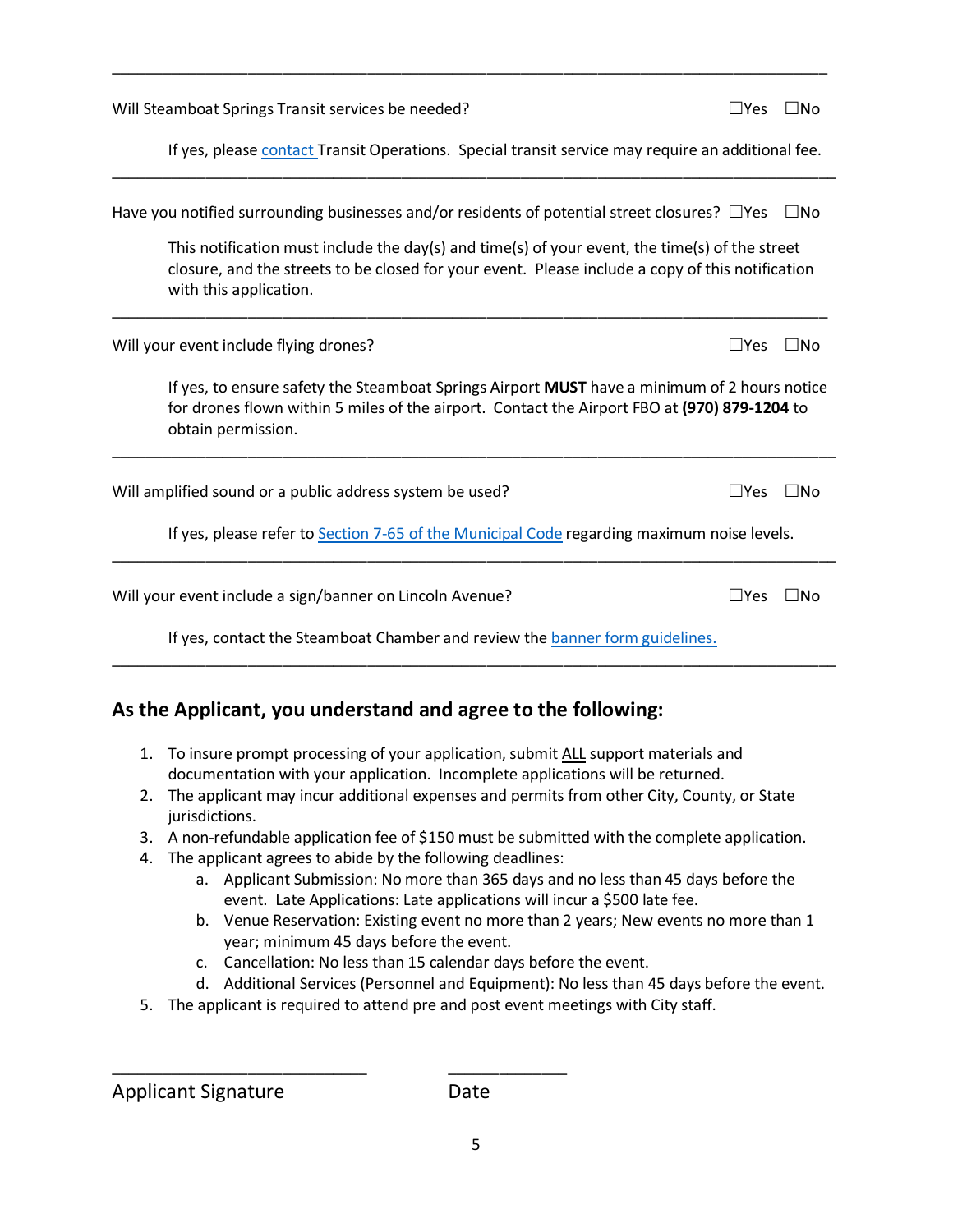| Will Steamboat Springs Transit services be needed?                                                                                                                                                                           | $\square$ Yes | IN <sub>O</sub> |
|------------------------------------------------------------------------------------------------------------------------------------------------------------------------------------------------------------------------------|---------------|-----------------|
| If yes, please contact Transit Operations. Special transit service may require an additional fee.                                                                                                                            |               |                 |
| Have you notified surrounding businesses and/or residents of potential street closures? $\Box$ Yes                                                                                                                           |               | $\Box$ No       |
| This notification must include the day(s) and time(s) of your event, the time(s) of the street<br>closure, and the streets to be closed for your event. Please include a copy of this notification<br>with this application. |               |                 |
| Will your event include flying drones?                                                                                                                                                                                       | $\Box$ Yes    | l INo           |
| If yes, to ensure safety the Steamboat Springs Airport MUST have a minimum of 2 hours notice<br>for drones flown within 5 miles of the airport. Contact the Airport FBO at (970) 879-1204 to<br>obtain permission.           |               |                 |
| Will amplified sound or a public address system be used?                                                                                                                                                                     | $\Box$ Yes    | $\square$ No    |
| If yes, please refer to Section 7-65 of the Municipal Code regarding maximum noise levels.                                                                                                                                   |               |                 |
| Will your event include a sign/banner on Lincoln Avenue?                                                                                                                                                                     | $\Box$ Yes    | IN <sub>O</sub> |
| If yes, contact the Steamboat Chamber and review the banner form guidelines.                                                                                                                                                 |               |                 |

\_\_\_\_\_\_\_\_\_\_\_\_\_\_\_\_\_\_\_\_\_\_\_\_\_\_\_\_\_\_\_\_\_\_\_\_\_\_\_\_\_\_\_\_\_\_\_\_\_\_\_\_\_\_\_\_\_\_\_\_\_\_\_\_\_\_\_\_\_\_\_\_\_\_\_\_\_\_\_\_\_\_\_\_

## **As the Applicant, you understand and agree to the following:**

- 1. To insure prompt processing of your application, submit ALL support materials and documentation with your application. Incomplete applications will be returned.
- 2. The applicant may incur additional expenses and permits from other City, County, or State jurisdictions.
- 3. A non-refundable application fee of \$150 must be submitted with the complete application.
- 4. The applicant agrees to abide by the following deadlines:

\_\_\_\_\_\_\_\_\_\_\_\_\_\_\_\_\_\_\_\_\_\_\_\_\_\_\_\_\_\_ \_\_\_\_\_\_\_\_\_\_\_\_\_\_

- a. Applicant Submission: No more than 365 days and no less than 45 days before the event. Late Applications: Late applications will incur a \$500 late fee.
- b. Venue Reservation: Existing event no more than 2 years; New events no more than 1 year; minimum 45 days before the event.
- c. Cancellation: No less than 15 calendar days before the event.
- d. Additional Services (Personnel and Equipment): No less than 45 days before the event.
- 5. The applicant is required to attend pre and post event meetings with City staff.

Applicant Signature Date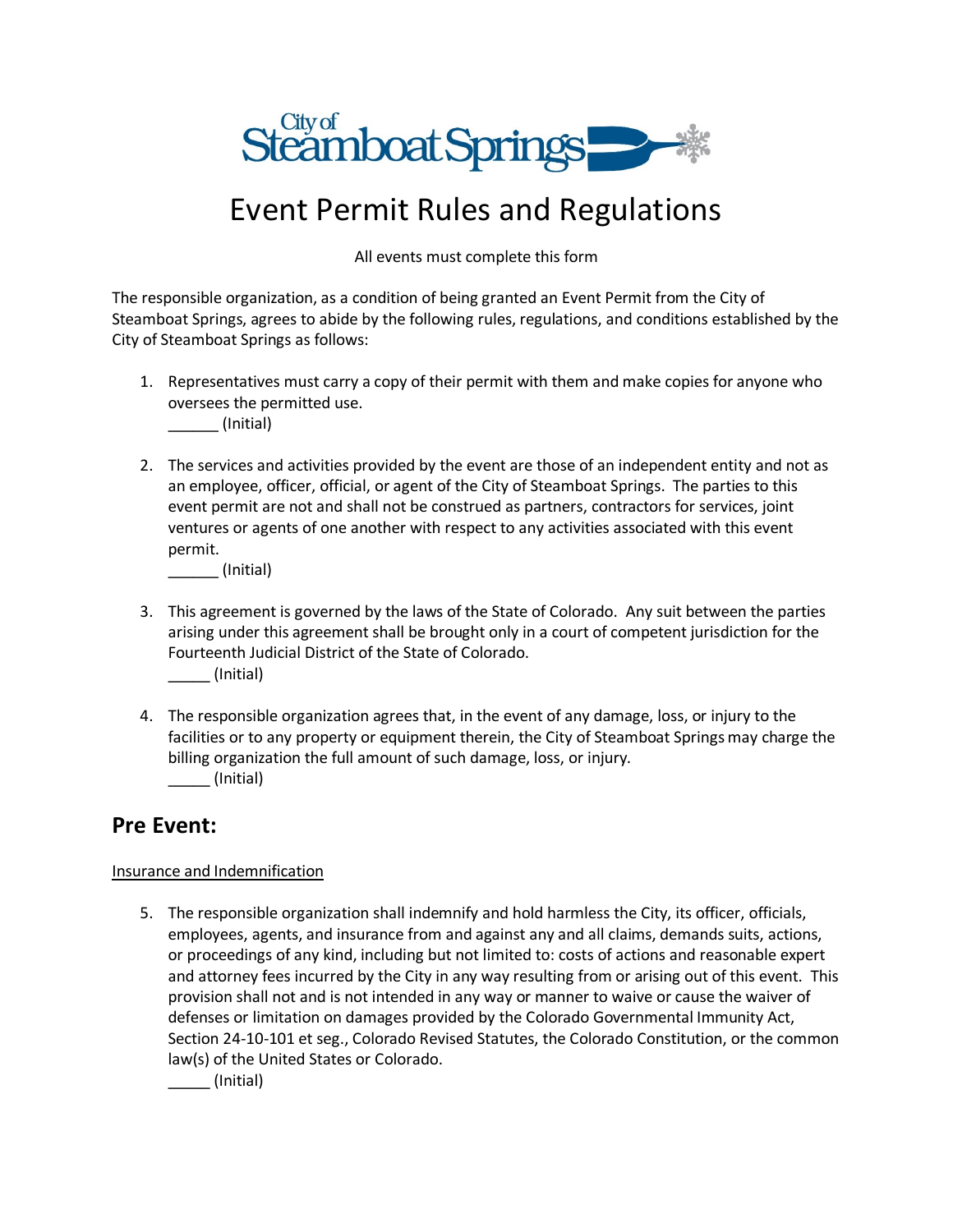

## Event Permit Rules and Regulations

All events must complete this form

The responsible organization, as a condition of being granted an Event Permit from the City of Steamboat Springs, agrees to abide by the following rules, regulations, and conditions established by the City of Steamboat Springs as follows:

1. Representatives must carry a copy of their permit with them and make copies for anyone who oversees the permitted use.

\_\_\_\_\_\_ (Initial)

2. The services and activities provided by the event are those of an independent entity and not as an employee, officer, official, or agent of the City of Steamboat Springs. The parties to this event permit are not and shall not be construed as partners, contractors for services, joint ventures or agents of one another with respect to any activities associated with this event permit.

\_\_\_\_\_\_ (Initial)

- 3. This agreement is governed by the laws of the State of Colorado. Any suit between the parties arising under this agreement shall be brought only in a court of competent jurisdiction for the Fourteenth Judicial District of the State of Colorado. \_\_\_\_\_ (Initial)
- 4. The responsible organization agrees that, in the event of any damage, loss, or injury to the facilities or to any property or equipment therein, the City of Steamboat Springs may charge the billing organization the full amount of such damage, loss, or injury. \_\_\_\_\_ (Initial)

## **Pre Event:**

#### Insurance and Indemnification

5. The responsible organization shall indemnify and hold harmless the City, its officer, officials, employees, agents, and insurance from and against any and all claims, demands suits, actions, or proceedings of any kind, including but not limited to: costs of actions and reasonable expert and attorney fees incurred by the City in any way resulting from or arising out of this event. This provision shall not and is not intended in any way or manner to waive or cause the waiver of defenses or limitation on damages provided by the Colorado Governmental Immunity Act, Section 24-10-101 et seg., Colorado Revised Statutes, the Colorado Constitution, or the common law(s) of the United States or Colorado.

\_\_\_\_\_ (Initial)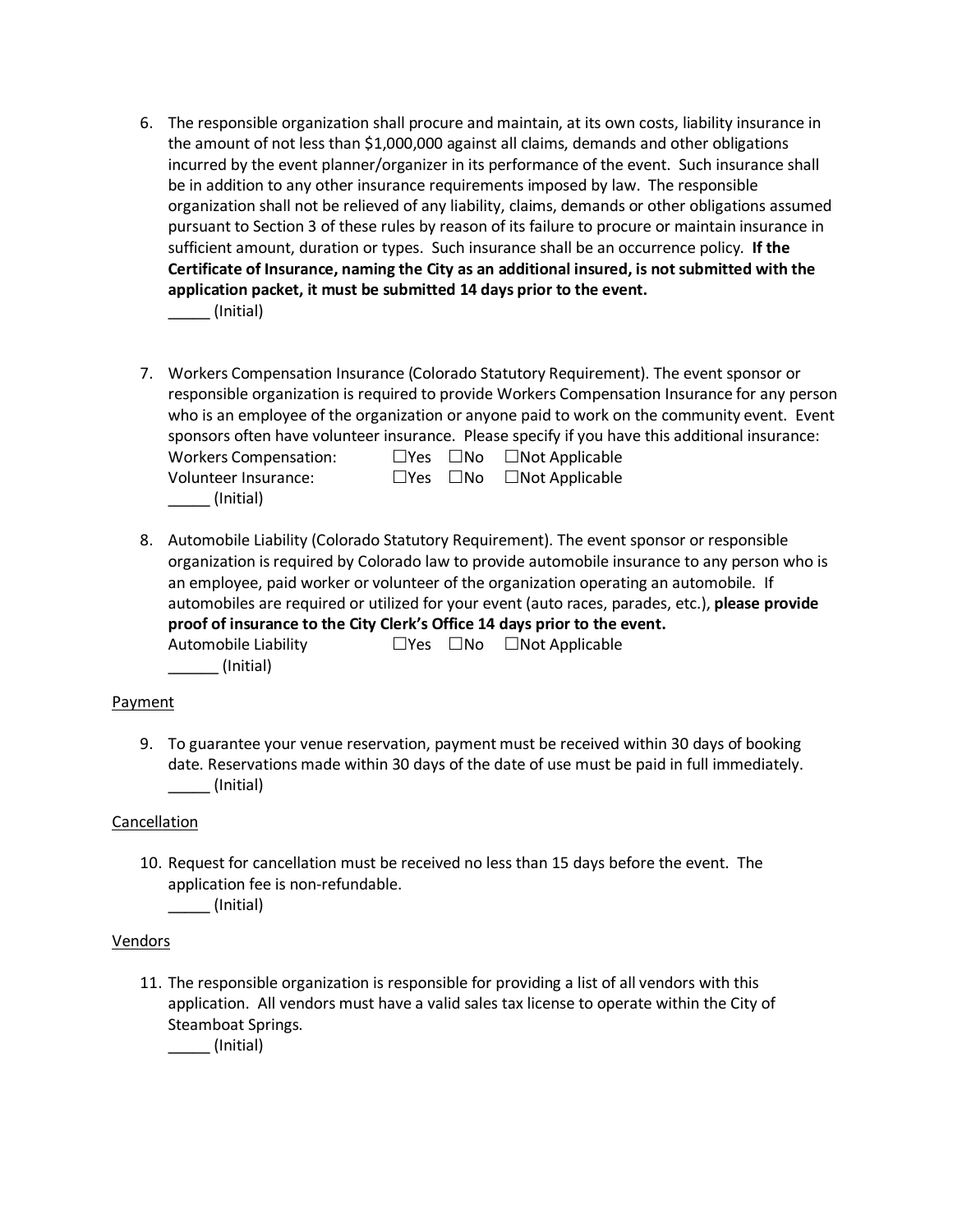6. The responsible organization shall procure and maintain, at its own costs, liability insurance in the amount of not less than \$1,000,000 against all claims, demands and other obligations incurred by the event planner/organizer in its performance of the event. Such insurance shall be in addition to any other insurance requirements imposed by law. The responsible organization shall not be relieved of any liability, claims, demands or other obligations assumed pursuant to Section 3 of these rules by reason of its failure to procure or maintain insurance in sufficient amount, duration or types. Such insurance shall be an occurrence policy. **If the Certificate of Insurance, naming the City as an additional insured, is not submitted with the application packet, it must be submitted 14 days prior to the event.** 

\_\_\_\_\_ (Initial)

- 7. Workers Compensation Insurance (Colorado Statutory Requirement). The event sponsor or responsible organization is required to provide Workers Compensation Insurance for any person who is an employee of the organization or anyone paid to work on the community event. Event sponsors often have volunteer insurance. Please specify if you have this additional insurance: Workers Compensation:  $\Box$  Yes  $\Box$  No  $\Box$  Not Applicable Volunteer Insurance: <br>
□ Yes □ No □ Not Applicable \_\_\_\_\_ (Initial)
- 8. Automobile Liability (Colorado Statutory Requirement). The event sponsor or responsible organization is required by Colorado law to provide automobile insurance to any person who is an employee, paid worker or volunteer of the organization operating an automobile. If automobiles are required or utilized for your event (auto races, parades, etc.), **please provide proof of insurance to the City Clerk's Office 14 days prior to the event.** Automobile Liability  $\Box$  Yes  $\Box$  No  $\Box$  Not Applicable  $\_$  (Initial)

#### Payment

9. To guarantee your venue reservation, payment must be received within 30 days of booking date. Reservations made within 30 days of the date of use must be paid in full immediately.  $\sqrt{ }$  (Initial)

#### Cancellation

10. Request for cancellation must be received no less than 15 days before the event. The application fee is non-refundable.

\_\_\_\_\_ (Initial)

#### Vendors

11. The responsible organization is responsible for providing a list of all vendors with this application. All vendors must have a valid sales tax license to operate within the City of Steamboat Springs.

\_\_\_\_\_ (Initial)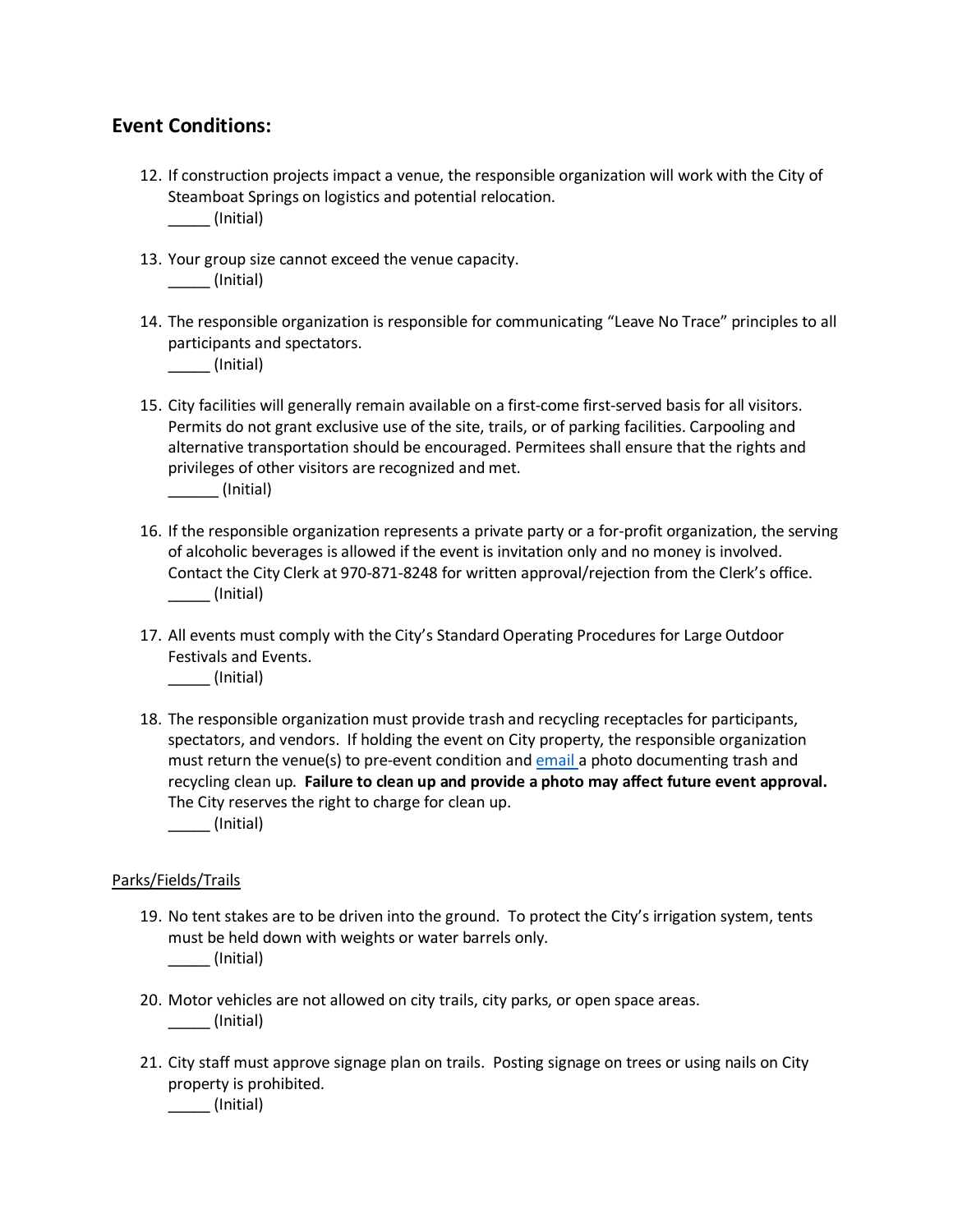### **Event Conditions:**

- 12. If construction projects impact a venue, the responsible organization will work with the City of Steamboat Springs on logistics and potential relocation. \_\_\_\_\_ (Initial)
- 13. Your group size cannot exceed the venue capacity.  $\sqrt{ }$  (Initial)
- 14. The responsible organization is responsible for communicating "Leave No Trace" principles to all participants and spectators.

\_\_\_\_\_ (Initial)

15. City facilities will generally remain available on a first-come first-served basis for all visitors. Permits do not grant exclusive use of the site, trails, or of parking facilities. Carpooling and alternative transportation should be encouraged. Permitees shall ensure that the rights and privileges of other visitors are recognized and met.

\_\_\_\_\_\_ (Initial)

- 16. If the responsible organization represents a private party or a for-profit organization, the serving of alcoholic beverages is allowed if the event is invitation only and no money is involved. Contact the City Clerk at 970-871-8248 for written approval/rejection from the Clerk's office. \_\_\_\_\_ (Initial)
- 17. All events must comply with the City's Standard Operating Procedures for Large Outdoor Festivals and Events.

\_\_\_\_\_ (Initial)

18. The responsible organization must provide trash and recycling receptacles for participants, spectators, and vendors. If holding the event on City property, the responsible organization must return the venue(s) to pre-event condition an[d email a](mailto:rlundy@steamboatsprings.net?subject=Special%20Events-%20Photo%20Trash%20and%20Recycle) photo documenting trash and recycling clean up. **Failure to clean up and provide a photo may affect future event approval.** The City reserves the right to charge for clean up.

\_\_\_\_\_ (Initial)

#### Parks/Fields/Trails

- 19. No tent stakes are to be driven into the ground. To protect the City's irrigation system, tents must be held down with weights or water barrels only. \_\_\_\_\_ (Initial)
- 20. Motor vehicles are not allowed on city trails, city parks, or open space areas. \_\_\_\_\_ (Initial)
- 21. City staff must approve signage plan on trails. Posting signage on trees or using nails on City property is prohibited.

\_\_\_\_\_ (Initial)